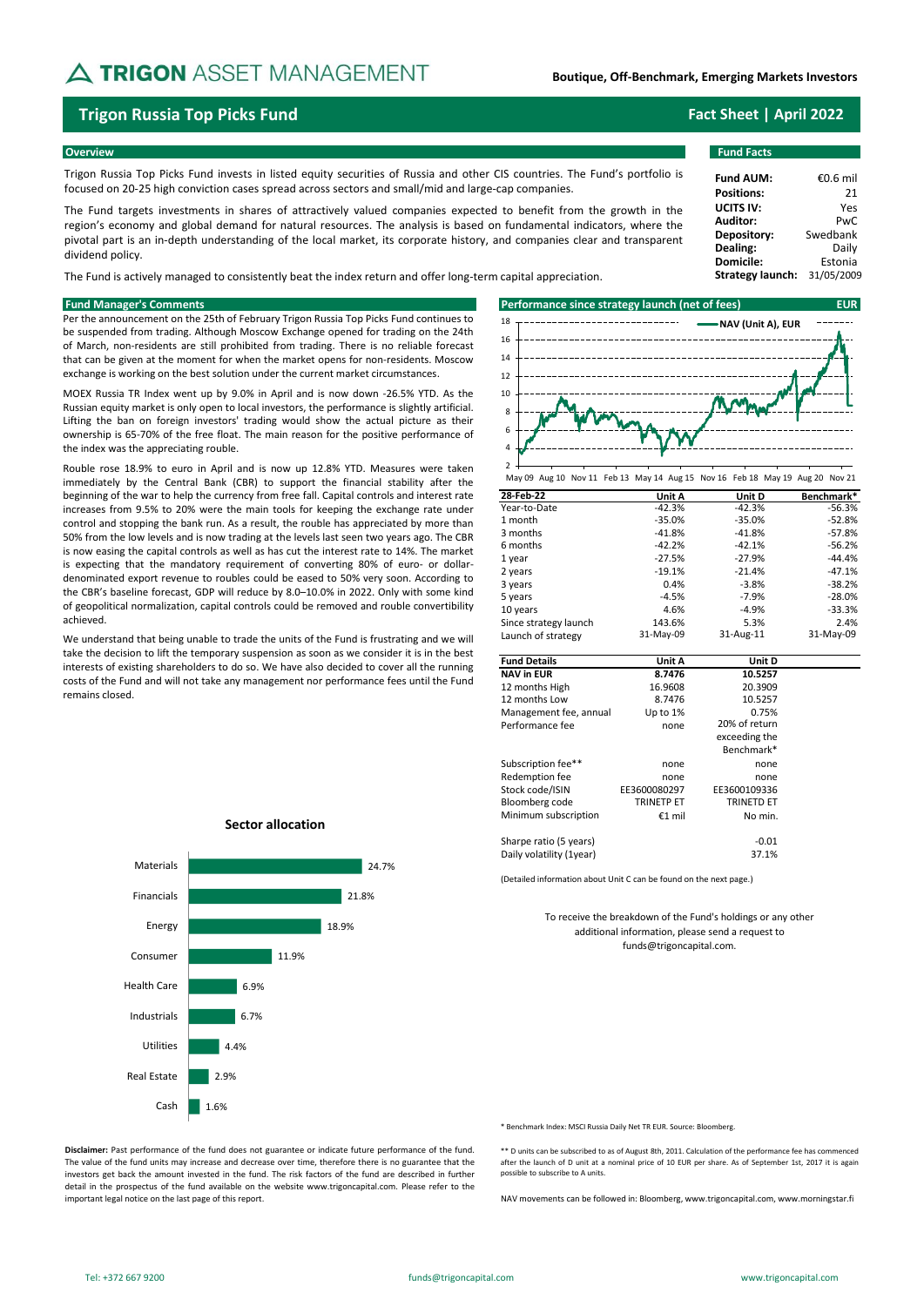# A TRIGON ASSET MANAGEMENT

**Boutique, Off-Benchmark, Emerging Markets Investors**

## **Trigon Russia Top Picks Fund Fact Sheet | April 2022**

#### **Overview Fund Facts**

Trigon Russia Top Picks Fund invests in listed equity securities of Russia and other CIS countries. The Fund's portfolio is focused on 20-25 high conviction cases spread across sectors and small/mid and large-cap companies.

The Fund targets investments in shares of attractively valued companies expected to benefit from the growth in the region's economy and global demand for natural resources. The analysis is based on fundamental indicators, where the pivotal part is an in-depth understanding of the local market, its corporate history, and companies clear and transparent dividend policy.

The Fund is actively managed to consistently beat the index return and offer long-term capital appreciation.

Per the announcement on the 25th of February Trigon Russia Top Picks Fund continues to be suspended from trading. Although Moscow Exchange opened for trading on the 24th of March, non-residents are still prohibited from trading. There is no reliable forecast that can be given at the moment for when the market opens for non-residents. Moscow exchange is working on the best solution under the current market circumstances.

MOEX Russia TR Index went up by 9.0% in April and is now down -26.5% YTD. As the Russian equity market is only open to local investors, the performance is slightly artificial. Lifting the ban on foreign investors' trading would show the actual picture as their ownership is 65-70% of the free float. The main reason for the positive performance of the index was the appreciating rouble.

Rouble rose 18.9% to euro in April and is now up 12.8% YTD. Measures were taken immediately by the Central Bank (CBR) to support the financial stability after the beginning of the war to help the currency from free fall. Capital controls and interest rate increases from 9.5% to 20% were the main tools for keeping the exchange rate under control and stopping the bank run. As a result, the rouble has appreciated by more than 50% from the low levels and is now trading at the levels last seen two years ago. The CBR is now easing the capital controls as well as has cut the interest rate to 14%. The market is expecting that the mandatory requirement of converting 80% of euro- or dollardenominated export revenue to roubles could be eased to 50% very soon. According to the CBR's baseline forecast, GDP will reduce by 8.0–10.0% in 2022. Only with some kind of geopolitical normalization, capital controls could be removed and rouble convertibility achieved.

We understand that being unable to trade the units of the Fund is frustrating and we will take the decision to lift the temporary suspension as soon as we consider it is in the best interests of existing shareholders to do so. We have also decided to cover all the running costs of the Fund and will not take any management nor performance fees until the Fund remains closed.

**Sector allocation**



May 09 Aug 10 Nov 11 Feb 13 May 14 Aug 15 Nov 16 Feb 18 May 19 Aug 20 Nov 21

| 28-Feb-22              | Unit A            | Unit D            | Benchmark* |
|------------------------|-------------------|-------------------|------------|
| Year-to-Date           | $-42.3%$          | $-42.3%$          | $-56.3%$   |
| 1 month                | $-35.0%$          | $-35.0%$          | $-52.8%$   |
| 3 months               | $-41.8%$          | $-41.8%$          | $-57.8%$   |
| 6 months               | $-42.2%$          | $-42.1%$          | $-56.2%$   |
| 1 year                 | $-27.5%$          | $-27.9%$          | $-44.4%$   |
| 2 years                | $-19.1%$          | $-21.4%$          | $-47.1%$   |
| 3 years                | 0.4%              | $-3.8%$           | $-38.2%$   |
| 5 years                | $-4.5%$           | $-7.9%$           | $-28.0%$   |
| 10 years               | 4.6%              | $-4.9%$           | $-33.3%$   |
| Since strategy launch  | 143.6%            | 5.3%              | 2.4%       |
| Launch of strategy     | 31-May-09         | 31-Aug-11         | 31-May-09  |
|                        |                   |                   |            |
| <b>Fund Details</b>    | Unit A            | Unit D            |            |
| <b>NAV in EUR</b>      | 8.7476            | 10.5257           |            |
| 12 months High         | 16.9608           | 20.3909           |            |
| 12 months Low          | 8.7476            | 10.5257           |            |
| Management fee, annual | Up to 1%          | 0.75%             |            |
| Performance fee        | none              | 20% of return     |            |
|                        |                   | exceeding the     |            |
|                        |                   | Benchmark*        |            |
| Subscription fee**     | none              | none              |            |
| Redemption fee         | none              | none              |            |
| Stock code/ISIN        | EE3600080297      | EE3600109336      |            |
| Bloomberg code         | <b>TRINETP ET</b> | <b>TRINETD ET</b> |            |
| Minimum subscription   | €1 mil            | No min.           |            |
| Sharpe ratio (5 years) |                   | $-0.01$           |            |

(Detailed information about Unit C can be found on the next page.)

Daily volatility (1year) 37.1%

To receive the breakdown of the Fund's holdings or any other additional information, please send a request to funds@trigoncapital.com.

\* Benchmark Index: MSCI Russia Daily Net TR EUR. Source: Bloomberg.

**Disclaimer:** Past performance of the fund does not guarantee or indicate future performance of the fund. The value of the fund units may increase and decrease over time, therefore there is no guarantee that the investors get back the amount invested in the fund. The risk factors of the fund are described in further detail in the prospectus of the fund available on the website www.trigoncapital.com. Please refer to the important legal notice on the last page of this report.

1.6%

Cash

Real Estate

Utilities Industrials Health Care Consumer Energy Financials Materials

2.9% 4.4%

6.7% 6.9% 11.9%

18.9%

21.8%

24.7%

\*\* D units can be subscribed to as of August 8th, 2011. Calculation of the performance fee has commenced after the launch of D unit at a nominal price of 10 EUR per share. As of September 1st, 2017 it is again possible to subscribe to A units.

NAV movements can be followed in: Bloomberg, www.trigoncapital.com, www.morningstar.fi

**Fund AUM:** €0.6 mil **Positions:** 21 **UCITS IV:** Yes **Auditor:** PwC<br>**Depository:** Swedbank **Depository:** Swedbank<br>**Dealing:** Daily **Dealing:** Daily<br> **Domicile:** Estonia **Domicile: Strategy launch:** 31/05/2009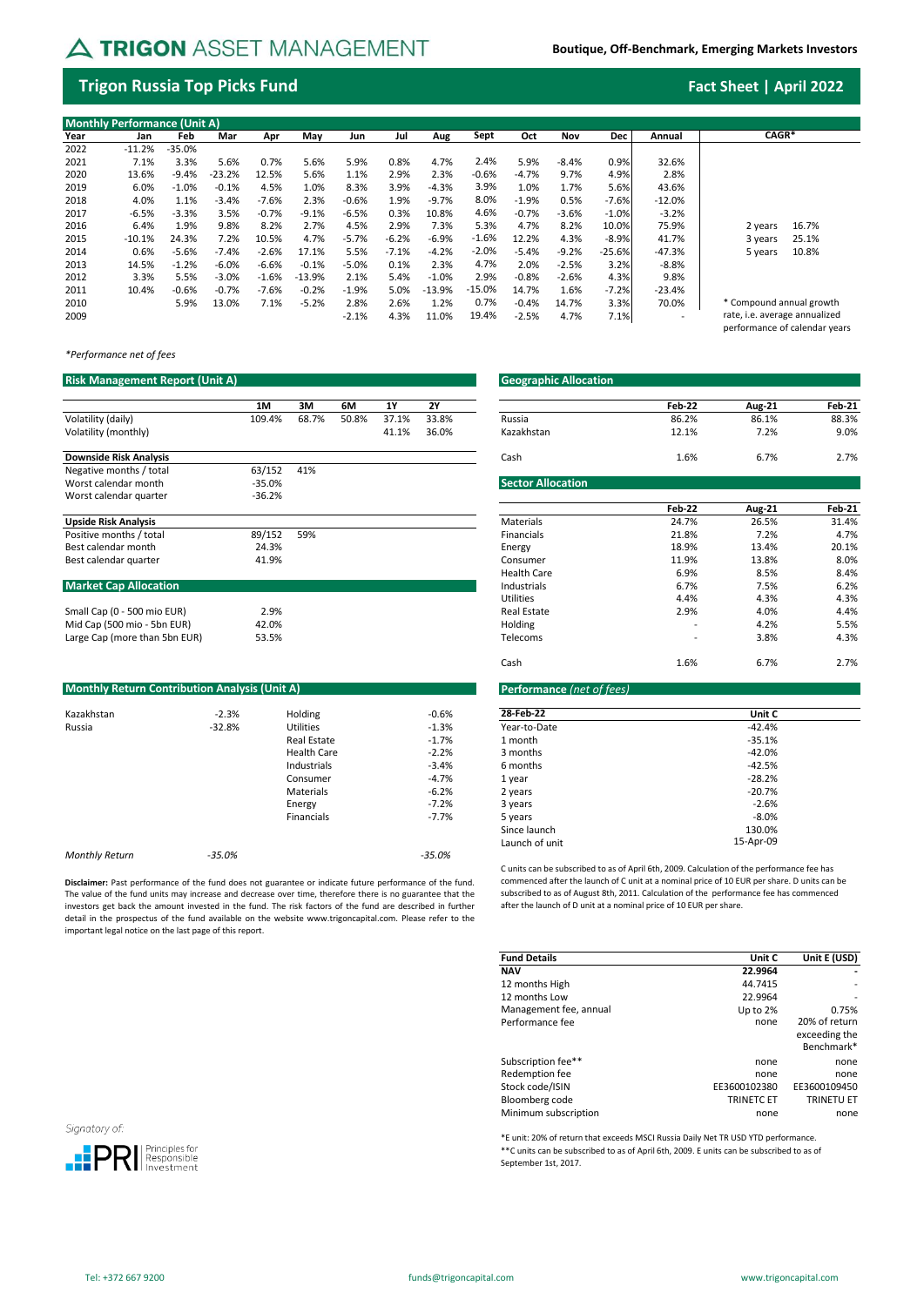# A TRIGON ASSET MANAGEMENT

**Boutique, Off-Benchmark, Emerging Markets Investors**

## **Trigon Russia Top Picks Fund Fact Sheet | April 2022**

performance of calendar years

| <b>Monthly Performance (Unit A)</b> |          |          |          |         |          |         |         |          |          |         |         |            |          |                               |
|-------------------------------------|----------|----------|----------|---------|----------|---------|---------|----------|----------|---------|---------|------------|----------|-------------------------------|
| Year                                | Jan      | Feb      | Mar      | Apr     | Mav      | Jun     | Jul     | Aug      | Sept     | Oct     | Nov     | <b>Dec</b> | Annual   | CAGR*                         |
| 2022                                | $-11.2%$ | $-35.0%$ |          |         |          |         |         |          |          |         |         |            |          |                               |
| 2021                                | 7.1%     | 3.3%     | 5.6%     | 0.7%    | 5.6%     | 5.9%    | 0.8%    | 4.7%     | 2.4%     | 5.9%    | $-8.4%$ | 0.9%       | 32.6%    |                               |
| 2020                                | 13.6%    | $-9.4%$  | $-23.2%$ | 12.5%   | 5.6%     | 1.1%    | 2.9%    | 2.3%     | $-0.6%$  | $-4.7%$ | 9.7%    | 4.9%       | 2.8%     |                               |
| 2019                                | 6.0%     | $-1.0%$  | $-0.1%$  | 4.5%    | 1.0%     | 8.3%    | 3.9%    | $-4.3%$  | 3.9%     | 1.0%    | 1.7%    | 5.6%       | 43.6%    |                               |
| 2018                                | 4.0%     | 1.1%     | $-3.4%$  | $-7.6%$ | 2.3%     | $-0.6%$ | 1.9%    | $-9.7%$  | 8.0%     | $-1.9%$ | 0.5%    | $-7.6%$    | $-12.0%$ |                               |
| 2017                                | $-6.5%$  | $-3.3%$  | 3.5%     | $-0.7%$ | $-9.1%$  | $-6.5%$ | 0.3%    | 10.8%    | 4.6%     | $-0.7%$ | $-3.6%$ | $-1.0%$    | $-3.2%$  |                               |
| 2016                                | 6.4%     | 1.9%     | 9.8%     | 8.2%    | 2.7%     | 4.5%    | 2.9%    | 7.3%     | 5.3%     | 4.7%    | 8.2%    | 10.0%      | 75.9%    | 16.7%<br>2 years              |
| 2015                                | $-10.1%$ | 24.3%    | 7.2%     | 10.5%   | 4.7%     | $-5.7%$ | $-6.2%$ | $-6.9%$  | $-1.6%$  | 12.2%   | 4.3%    | $-8.9%$    | 41.7%    | 25.1%<br>3 years              |
| 2014                                | 0.6%     | $-5.6%$  | $-7.4%$  | $-2.6%$ | 17.1%    | 5.5%    | $-7.1%$ | $-4.2%$  | $-2.0%$  | $-5.4%$ | $-9.2%$ | $-25.6%$   | $-47.3%$ | 10.8%<br>5 years              |
| 2013                                | 14.5%    | $-1.2%$  | $-6.0%$  | $-6.6%$ | $-0.1%$  | $-5.0%$ | 0.1%    | 2.3%     | 4.7%     | 2.0%    | $-2.5%$ | 3.2%       | $-8.8%$  |                               |
| 2012                                | 3.3%     | 5.5%     | $-3.0%$  | $-1.6%$ | $-13.9%$ | 2.1%    | 5.4%    | $-1.0%$  | 2.9%     | $-0.8%$ | $-2.6%$ | 4.3%       | 9.8%     |                               |
| 2011                                | 10.4%    | $-0.6%$  | $-0.7%$  | $-7.6%$ | $-0.2%$  | $-1.9%$ | 5.0%    | $-13.9%$ | $-15.0%$ | 14.7%   | 1.6%    | $-7.2%$    | $-23.4%$ |                               |
| 2010                                |          | 5.9%     | 13.0%    | 7.1%    | $-5.2%$  | 2.8%    | 2.6%    | 1.2%     | 0.7%     | $-0.4%$ | 14.7%   | 3.3%       | 70.0%    | * Compound annual growth      |
| 2009                                |          |          |          |         |          | $-2.1%$ | 4.3%    | 11.0%    | 19.4%    | $-2.5%$ | 4.7%    | 7.1%       |          | rate, i.e. average annualized |

*\*Performance net of fees*

### **Risk Management Report (Unit A) Geographic Allocation Geographic Allocation Geographic Allocation**

|                               | 1M       | 3M    | 6M    | 1Y    | <b>2Y</b> |                          | Feb-22 | <b>Aug-21</b> | Feb-21 |
|-------------------------------|----------|-------|-------|-------|-----------|--------------------------|--------|---------------|--------|
| Volatility (daily)            | 109.4%   | 68.7% | 50.8% | 37.1% | 33.8%     | Russia                   | 86.2%  | 86.1%         | 88.3%  |
| Volatility (monthly)          |          |       |       | 41.1% | 36.0%     | Kazakhstan               | 12.1%  | 7.2%          | 9.0%   |
| <b>Downside Risk Analysis</b> |          |       |       |       |           | Cash                     | 1.6%   | 6.7%          | 2.7%   |
| Negative months / total       | 63/152   | 41%   |       |       |           |                          |        |               |        |
| Worst calendar month          | $-35.0%$ |       |       |       |           | <b>Sector Allocation</b> |        |               |        |
| Worst calendar quarter        | $-36.2%$ |       |       |       |           |                          |        |               |        |
|                               |          |       |       |       |           |                          | Feb-22 | <b>Aug-21</b> | Feb-21 |
| <b>Upside Risk Analysis</b>   |          |       |       |       |           | Materials                | 24.7%  | 26.5%         | 31.4%  |
| Positive months / total       | 89/152   | 59%   |       |       |           | Financials               | 21.8%  | 7.2%          | 4.7%   |
| Best calendar month           | 24.3%    |       |       |       |           | Energy                   | 18.9%  | 13.4%         | 20.1%  |
| Best calendar quarter         | 41.9%    |       |       |       |           | Consumer                 | 11.9%  | 13.8%         | 8.0%   |
|                               |          |       |       |       |           | <b>Health Care</b>       | 6.9%   | 8.5%          | 8.4%   |
| <b>Market Cap Allocation</b>  |          |       |       |       |           | Industrials              | 6.7%   | 7.5%          | 6.2%   |
|                               |          |       |       |       |           | <b>Utilities</b>         | 4.4%   | 4.3%          | 4.3%   |

| Small Cap (0 - 500 mio EUR)   |  |
|-------------------------------|--|
| Mid Cap (500 mio - 5bn EUR)   |  |
| Large Cap (more than 5bn EUR) |  |

| <b>Monthly Return Contribution Analysis (Unit A)</b> |          |                    |          | <b>Performance</b> (net of fees) |           |
|------------------------------------------------------|----------|--------------------|----------|----------------------------------|-----------|
| Kazakhstan                                           | $-2.3%$  | Holding            | $-0.6%$  | 28-Feb-22                        | Unit 0    |
| Russia                                               | $-32.8%$ | Utilities          | $-1.3%$  | Year-to-Date                     | $-42.4%$  |
|                                                      |          | <b>Real Estate</b> | $-1.7%$  | 1 month                          | $-35.1%$  |
|                                                      |          | <b>Health Care</b> | $-2.2%$  | 3 months                         | $-42.0%$  |
|                                                      |          | Industrials        | $-3.4%$  | 6 months                         | $-42.5%$  |
|                                                      |          | Consumer           | $-4.7%$  | 1 year                           | $-28.2%$  |
|                                                      |          | Materials          | $-6.2%$  | 2 years                          | $-20.7%$  |
|                                                      |          | Energy             | $-7.2%$  | 3 years                          | $-2.6%$   |
|                                                      |          | Financials         | $-7.7%$  | 5 years                          | $-8.0%$   |
|                                                      |          |                    |          | Since launch                     | 130.0%    |
|                                                      |          |                    |          | Launch of unit                   | 15-Apr-09 |
| <b>Monthly Return</b>                                | $-35.0%$ |                    | $-35.0%$ |                                  |           |
|                                                      |          |                    |          |                                  |           |

**Disclaimer:** Past performance of the fund does not guarantee or indicate future performance of the fund. The value of the fund units may increase and decrease over time, therefore there is no guarantee that the investors get back the amount invested in the fund. The risk factors of the fund are described in further detail in the prospectus of the fund available on the website www.trigoncapital.com. Please refer to the important legal notice on the last page of this report.

|        |       |       |       |       | <b>Geographic Allocation</b> |        |               |        |
|--------|-------|-------|-------|-------|------------------------------|--------|---------------|--------|
| 1M     | ЗM    | 6M    | 1Υ    | 2Y    |                              | Feb-22 | <b>Aug-21</b> | Feb-21 |
| 109.4% | 68.7% | 50.8% | 37.1% | 33.8% | Russia                       | 86.2%  | 86.1%         | 88.3%  |
|        |       |       | 41.1% | 36.0% | Kazakhstan                   | 12.1%  | 7.2%          | 9.0%   |

| Worst calendar month<br>Worst calendar quarter | -35.0%<br>$-36.2%$ | Sector Allocation  |        |               |        |
|------------------------------------------------|--------------------|--------------------|--------|---------------|--------|
|                                                |                    |                    | Feb-22 | <b>Aug-21</b> | Feb-21 |
| <b>Upside Risk Analysis</b>                    |                    | Materials          | 24.7%  | 26.5%         | 31.4%  |
| Positive months / total                        | 89/152<br>59%      | Financials         | 21.8%  | 7.2%          | 4.7%   |
| Best calendar month                            | 24.3%              | Energy             | 18.9%  | 13.4%         | 20.1%  |
| Best calendar quarter                          | 41.9%              | Consumer           | 11.9%  | 13.8%         | 8.0%   |
|                                                |                    | <b>Health Care</b> | 6.9%   | 8.5%          | 8.4%   |
| <b>Market Cap Allocation</b>                   |                    | Industrials        | 6.7%   | 7.5%          | 6.2%   |
|                                                |                    | <b>Utilities</b>   | 4.4%   | 4.3%          | 4.3%   |
| Small Cap (0 - 500 mio EUR)                    | 2.9%               | <b>Real Estate</b> | 2.9%   | 4.0%          | 4.4%   |
| Mid Cap (500 mio - 5bn EUR)                    | 42.0%              | Holding            |        | 4.2%          | 5.5%   |
| Large Cap (more than 5bn EUR)                  | 53.5%              | Telecoms           |        | 3.8%          | 4.3%   |
|                                                |                    | Cash               | 1.6%   | 6.7%          | 2.7%   |

### **Monthly Reformance** (net of fees)

| Holding            | $-0.6%$ | 28-Feb-22      | Unit C    |  |
|--------------------|---------|----------------|-----------|--|
| <b>Utilities</b>   | $-1.3%$ | Year-to-Date   | $-42.4%$  |  |
| Real Estate        | $-1.7%$ | 1 month        | $-35.1%$  |  |
| <b>Health Care</b> | $-2.2%$ | 3 months       | $-42.0%$  |  |
| Industrials        | $-3.4%$ | 6 months       | $-42.5%$  |  |
| Consumer           | $-4.7%$ | 1 year         | $-28.2%$  |  |
| Materials          | $-6.2%$ | 2 years        | $-20.7%$  |  |
| Energy             | $-7.2%$ | 3 years        | $-2.6%$   |  |
| <b>Financials</b>  | -7.7%   | 5 years        | $-8.0\%$  |  |
|                    |         | Since launch   | 130.0%    |  |
|                    |         | Launch of unit | 15-Apr-09 |  |
|                    |         |                |           |  |

C units can be subscribed to as of April 6th, 2009. Calculation of the performance fee has commenced after the launch of C unit at a nominal price of 10 EUR per share. D units can be subscribed to as of August 8th, 2011. Calculation of the performance fee has commenced after the launch of D unit at a nominal price of 10 EUR per share.

| <b>Fund Details</b>    | Unit C            | Unit E (USD)      |
|------------------------|-------------------|-------------------|
| <b>NAV</b>             | 22.9964           |                   |
| 12 months High         | 44.7415           |                   |
| 12 months Low          | 22.9964           |                   |
| Management fee, annual | Up to $2%$        | 0.75%             |
| Performance fee        | none              | 20% of return     |
|                        |                   | exceeding the     |
|                        |                   | Benchmark*        |
| Subscription fee**     | none              | none              |
| Redemption fee         | none              | none              |
| Stock code/ISIN        | EE3600102380      | EE3600109450      |
| Bloomberg code         | <b>TRINETC ET</b> | <b>TRINETU ET</b> |
| Minimum subscription   | none              | none              |

\*E unit: 20% of return that exceeds MSCI Russia Daily Net TR USD YTD performance. \*\*C units can be subscribed to as of April 6th, 2009. E units can be subscribed to as of September 1st, 2017.

Signatory of: